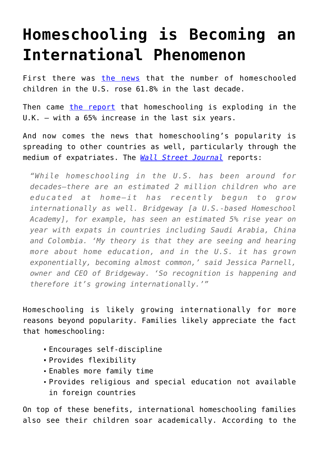## **[Homeschooling is Becoming an](https://intellectualtakeout.org/2016/01/homeschooling-is-becoming-an-international-phenomenon/) [International Phenomenon](https://intellectualtakeout.org/2016/01/homeschooling-is-becoming-an-international-phenomenon/)**

First there was [the news](http://www.breitbart.com/big-government/2015/05/19/number-of-homeschooled-children-soars-in-america-up-61-8-over-10-years/) that the number of homeschooled children in the U.S. rose 61.8% in the last decade.

Then came [the report](https://www.intellectualtakeout.org/blog/homeschooling-rise-both-us-and-elsewhere) that homeschooling is exploding in the U.K. – with a 65% increase in the last six years.

And now comes the news that homeschooling's popularity is spreading to other countries as well, particularly through the medium of expatriates. The *[Wall Street Journal](http://blogs.wsj.com/expat/2016/01/20/do-the-math-the-percentage-of-expat-homeschoolers-is-growing/)* reports:

*"While homeschooling in the U.S. has been around for decades—there are an estimated 2 million children who are educated at home—it has recently begun to grow internationally as well. Bridgeway [a U.S.-based Homeschool Academy], for example, has seen an estimated 5% rise year on year with expats in countries including Saudi Arabia, China and Colombia. 'My theory is that they are seeing and hearing more about home education, and in the U.S. it has grown exponentially, becoming almost common,' said Jessica Parnell, owner and CEO of Bridgeway. 'So recognition is happening and therefore it's growing internationally.'"*

Homeschooling is likely growing internationally for more reasons beyond popularity. Families likely appreciate the fact that homeschooling:

- Encourages self-discipline
- Provides flexibility
- Enables more family time
- Provides religious and special education not available in foreign countries

On top of these benefits, international homeschooling families also see their children soar academically. According to the